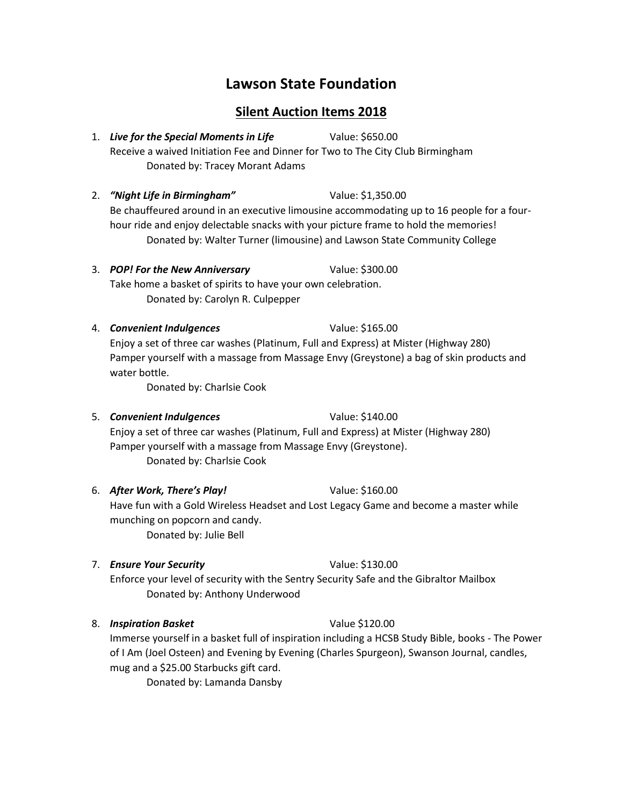# **Lawson State Foundation**

## **Silent Auction Items 2018**

- 1. *Live for the Special Moments in Life* Value: \$650.00 Receive a waived Initiation Fee and Dinner for Two to The City Club Birmingham Donated by: Tracey Morant Adams
- 2. *"Night Life in Birmingham"* Value: \$1,350.00 Be chauffeured around in an executive limousine accommodating up to 16 people for a fourhour ride and enjoy delectable snacks with your picture frame to hold the memories! Donated by: Walter Turner (limousine) and Lawson State Community College
- 3. *POP! For the New Anniversary* Value: \$300.00 Take home a basket of spirits to have your own celebration. Donated by: Carolyn R. Culpepper
- 4. *Convenient Indulgences* Value: \$165.00 Enjoy a set of three car washes (Platinum, Full and Express) at Mister (Highway 280) Pamper yourself with a massage from Massage Envy (Greystone) a bag of skin products and water bottle.

Donated by: Charlsie Cook

5. *Convenient Indulgences* Value: \$140.00

Enjoy a set of three car washes (Platinum, Full and Express) at Mister (Highway 280) Pamper yourself with a massage from Massage Envy (Greystone). Donated by: Charlsie Cook

6. *After Work, There's Play!* Value: \$160.00

Have fun with a Gold Wireless Headset and Lost Legacy Game and become a master while munching on popcorn and candy. Donated by: Julie Bell

7. *Ensure Your Security* Value: \$130.00

Enforce your level of security with the Sentry Security Safe and the Gibraltor Mailbox Donated by: Anthony Underwood

8. *Inspiration Basket* Value \$120.00

Immerse yourself in a basket full of inspiration including a HCSB Study Bible, books - The Power of I Am (Joel Osteen) and Evening by Evening (Charles Spurgeon), Swanson Journal, candles, mug and a \$25.00 Starbucks gift card.

Donated by: Lamanda Dansby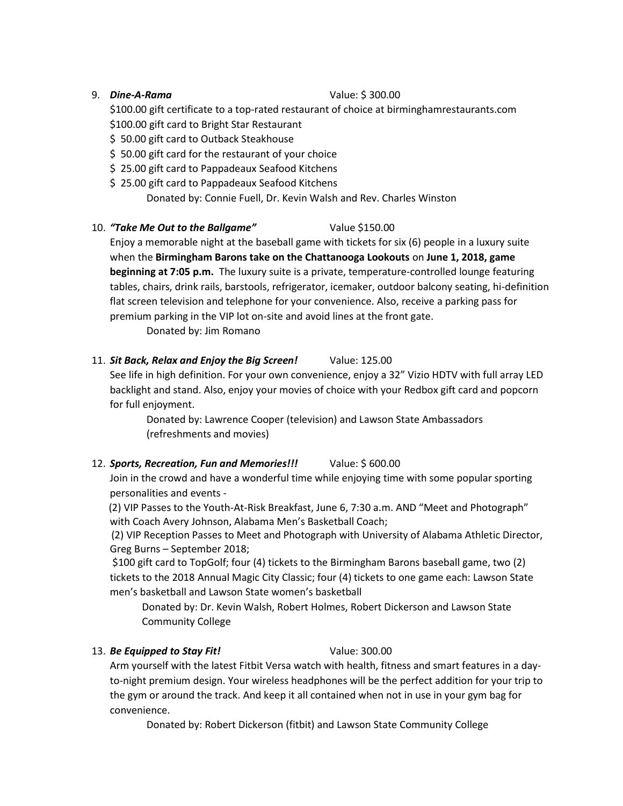### 9. *Dine-A-Rama* Value: \$ 300.00

\$100.00 gift certificate to a top-rated restaurant of choice at birminghamrestaurants.com \$100.00 gift card to Bright Star Restaurant

- \$ 50.00 gift card to Outback Steakhouse
- \$ 50.00 gift card for the restaurant of your choice
- \$25.00 gift card to Pappadeaux Seafood Kitchens
- \$ 25.00 gift card to Pappadeaux Seafood Kitchens

Donated by: Connie Fuell, Dr. Kevin Walsh and Rev. Charles Winston

### 10. *"Take Me Out to the Ballgame"* Value \$150.00

Enjoy a memorable night at the baseball game with tickets for six (6) people in a luxury suite when the **Birmingham Barons take on the Chattanooga Lookouts** on **June 1, 2018, game beginning at 7:05 p.m.** The luxury suite is a private, temperature-controlled lounge featuring tables, chairs, drink rails, barstools, refrigerator, icemaker, outdoor balcony seating, hi-definition flat screen television and telephone for your convenience. Also, receive a parking pass for premium parking in the VIP lot on-site and avoid lines at the front gate.

Donated by: Jim Romano

### 11. *Sit Back, Relax and Enjoy the Big Screen!* Value: 125.00

See life in high definition. For your own convenience, enjoy a 32" Vizio HDTV with full array LED backlight and stand. Also, enjoy your movies of choice with your Redbox gift card and popcorn for full enjoyment.

Donated by: Lawrence Cooper (television) and Lawson State Ambassadors (refreshments and movies)

### 12. *Sports, Recreation, Fun and Memories!!!* Value: \$ 600.00

Join in the crowd and have a wonderful time while enjoying time with some popular sporting personalities and events -

 (2) VIP Passes to the Youth-At-Risk Breakfast, June 6, 7:30 a.m. AND "Meet and Photograph" with Coach Avery Johnson, Alabama Men's Basketball Coach;

 (2) VIP Reception Passes to Meet and Photograph with University of Alabama Athletic Director, Greg Burns – September 2018;

\$100 gift card to TopGolf; four (4) tickets to the Birmingham Barons baseball game, two (2) tickets to the 2018 Annual Magic City Classic; four (4) tickets to one game each: Lawson State men's basketball and Lawson State women's basketball

Donated by: Dr. Kevin Walsh, Robert Holmes, Robert Dickerson and Lawson State Community College

### 13. *Be Equipped to Stay Fit!* Value: 300.00

Arm yourself with the latest Fitbit Versa watch with health, fitness and smart features in a dayto-night premium design. Your wireless headphones will be the perfect addition for your trip to the gym or around the track. And keep it all contained when not in use in your gym bag for convenience.

Donated by: Robert Dickerson (fitbit) and Lawson State Community College